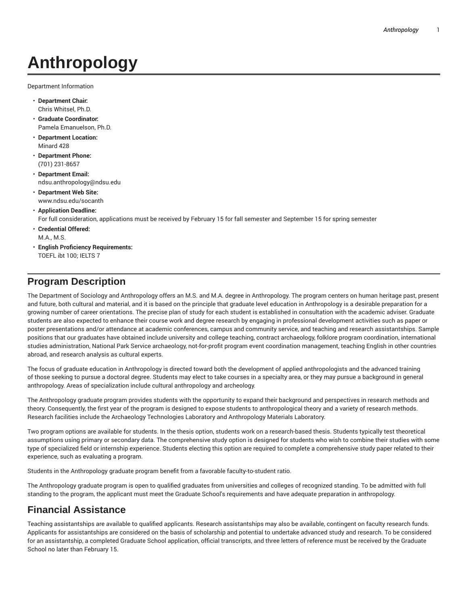# **Anthropology**

Department Information

- **Department Chair:** Chris Whitsel, Ph.D.
- **Graduate Coordinator:** Pamela Emanuelson, Ph.D.
- **Department Location:** Minard 428
- **Department Phone:** (701) 231-8657
- **Department Email:** ndsu.anthropology@ndsu.edu
- **Department Web Site:** www.ndsu.edu/socanth

#### • **Application Deadline:**

For full consideration, applications must be received by February 15 for fall semester and September 15 for spring semester

- **Credential Offered:** M.A., M.S.
- **English Proficiency Requirements:** TOEFL ibt 100; IELTS 7

## **Program Description**

The Department of Sociology and Anthropology offers an M.S. and M.A. degree in Anthropology. The program centers on human heritage past, present and future, both cultural and material, and it is based on the principle that graduate level education in Anthropology is a desirable preparation for a growing number of career orientations. The precise plan of study for each student is established in consultation with the academic adviser. Graduate students are also expected to enhance their course work and degree research by engaging in professional development activities such as paper or poster presentations and/or attendance at academic conferences, campus and community service, and teaching and research assistantships. Sample positions that our graduates have obtained include university and college teaching, contract archaeology, folklore program coordination, international studies administration, National Park Service archaeology, not-for-profit program event coordination management, teaching English in other countries abroad, and research analysis as cultural experts.

The focus of graduate education in Anthropology is directed toward both the development of applied anthropologists and the advanced training of those seeking to pursue a doctoral degree. Students may elect to take courses in a specialty area, or they may pursue a background in general anthropology. Areas of specialization include cultural anthropology and archeology.

The Anthropology graduate program provides students with the opportunity to expand their background and perspectives in research methods and theory. Consequently, the first year of the program is designed to expose students to anthropological theory and a variety of research methods. Research facilities include the Archaeology Technologies Laboratory and Anthropology Materials Laboratory.

Two program options are available for students. In the thesis option, students work on a research-based thesis. Students typically test theoretical assumptions using primary or secondary data. The comprehensive study option is designed for students who wish to combine their studies with some type of specialized field or internship experience. Students electing this option are required to complete a comprehensive study paper related to their experience, such as evaluating a program.

Students in the Anthropology graduate program benefit from a favorable faculty-to-student ratio.

The Anthropology graduate program is open to qualified graduates from universities and colleges of recognized standing. To be admitted with full standing to the program, the applicant must meet the Graduate School's requirements and have adequate preparation in anthropology.

# **Financial Assistance**

Teaching assistantships are available to qualified applicants. Research assistantships may also be available, contingent on faculty research funds. Applicants for assistantships are considered on the basis of scholarship and potential to undertake advanced study and research. To be considered for an assistantship, a completed Graduate School application, official transcripts, and three letters of reference must be received by the Graduate School no later than February 15.